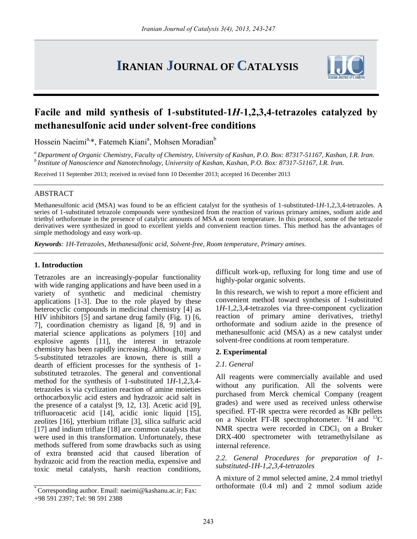# **IRANIAN JOURNAL OF CATALYSIS**



## **Facile and mild synthesis of 1-substituted-1***H***-1,2,3,4-tetrazoles catalyzed by methanesulfonic acid under solvent-free conditions**

Hossein Naeimi<sup>a,\*</sup>, Fatemeh Kiani<sup>a</sup>, Mohsen Moradian<sup>b</sup>

*<sup>a</sup>Department of Organic Chemistry, Faculty of Chemistry, University of Kashan, P.O. Box: 87317-51167, Kashan, I.R. Iran. <sup>b</sup>Institute of Nanoscience and Nanotechnology, University of Kashan, Kashan, P.O. Box: 87317-51167, I.R. Iran.*

Received 11 September 2013; received in revised form 10 December 2013; accepted 16 December 2013

## ABSTRACT

Methanesulfonic acid (MSA) was found to be an efficient catalyst for the synthesis of 1-substituted-1*H*-1,2,3,4-tetrazoles. A series of 1-substituted tetrazole compounds were synthesized from the reaction of various primary amines, sodium azide and triethyl orthoformate in the presence of catalytic amounts of MSA at room temperature. In this protocol, some of the tetrazole derivatives were synthesized in good to excellent yields and convenient reaction times. This method has the advantages of simple methodology and easy work-up.

*Keywords: 1H-Tetrazoles, Methanesulfonic acid, Solvent-free, Room temperature, Primary amines.*

## **1. Introduction**

Tetrazoles are an increasingly-popular functionality with wide ranging applications and have been used in a variety of synthetic and medicinal chemistry applications [1-3]. Due to the role played by these heterocyclic compounds in medicinal chemistry [4] as HIV inhibitors [5] and sartane drug family (Fig. 1) [6, 7], coordination chemistry as ligand [8, 9] and in material science applications as polymers [10] and explosive agents [11], the interest in tetrazole chemistry has been rapidly increasing. Although, many 5-substituted tetrazoles are known, there is still a dearth of efficient processes for the synthesis of 1 substituted tetrazoles. The general and conventional method for the synthesis of 1-substituted 1*H*-1,2,3,4 tetrazoles is via cyclization reaction of amine moieties orthocarboxylic acid esters and hydrazoic acid salt in the presence of a catalyst [9, 12, 13]. Acetic acid [9], trifluoroacetic acid [14], acidic ionic liquid [15], zeolites [16], ytterbium triflate [3], silica sulfuric acid [17] and indium triflate [18] are common catalysts that were used in this transformation. Unfortunately, these methods suffered from some drawbacks such as using of extra brønsted acid that caused liberation of hydrazoic acid from the reaction media, expensive and toxic metal catalysts, harsh reaction conditions,

\* Corresponding author. Email: [naeimi@kashanu.ac.ir;](mailto:naeimi@kashanu.ac.ir) Fax: +98 591 2397; Tel: 98 591 2388

difficult work-up, refluxing for long time and use of highly-polar organic solvents.

In this research, we wish to report a more efficient and convenient method toward synthesis of 1-substituted 1*H*-1,2,3,4-tetrazoles via three-component cyclization reaction of primary amine derivatives, triethyl orthoformate and sodium azide in the presence of methanesulfonic acid (MSA) as a new catalyst under solvent-free conditions at room temperature.

## **2. Experimental**

## *2.1. General*

All reagents were commercially available and used without any purification. All the solvents were purchased from Merck chemical Company (reagent grades) and were used as received unless otherwise specified. FT-IR spectra were recorded as KBr pellets on a Nicolet FT-IR spectrophotometer. <sup>1</sup>H and <sup>13</sup>C NMR spectra were recorded in  $CDCl<sub>3</sub>$  on a Bruker DRX-400 spectrometer with tetramethylsilane as internal reference.

*2.2. General Procedures for preparation of 1 substituted-1H-1,2,3,4-tetrazoles*

A mixture of 2 mmol selected amine, 2.4 mmol triethyl orthoformate (0.4 ml) and 2 mmol sodium azide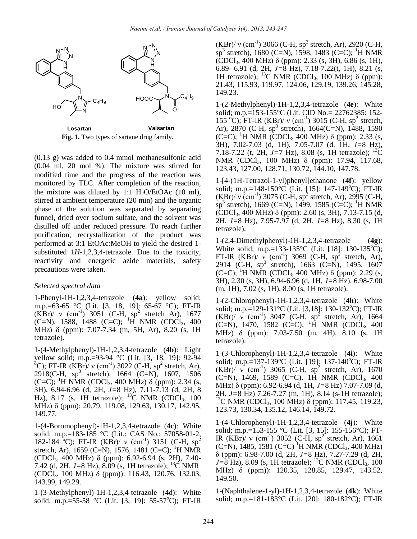

Fig. 1. Two types of sartane drug family.

(0.13 g) was added to 0.4 mmol methanesulfonic acid (0.04 ml, 20 mol %). The mixture was stirred for modified time and the progress of the reaction was monitored by TLC. After completion of the reaction, the mixture was diluted by 1:1  $H_2O/EtOAc$  (10 ml), stirred at ambient temperature (20 min) and the organic phase of the solution was separated by separating funnel, dried over sodium sulfate, and the solvent was distilled off under reduced pressure. To reach further purification, recrystallization of the product was performed at 3:1 EtOAc:MeOH to yield the desired 1 substituted 1*H*-1,2,3,4-tetrazole. Due to the toxicity, reactivity and energetic azide materials, safety precautions were taken.

## *Selected spectral data*

1-Phenyl-1H-1,2,3,4-tetrazole (**4a**): yellow solid; m.p.=63-65 °C (Lit. [3, 18, 19]: 65-67 °C); FT-IR  $(KBr)'$  v  $(cm^{-1})$  3051 (C-H,  $sp^2$  stretch Ar), 1677 (C=N), 1588, 1488 (C=C); <sup>1</sup>H NMR (CDCl<sub>3</sub>, 400) MHz) δ (ppm): 7.07-7.34 (m, 5H, Ar), 8.20 (s, 1H tetrazole).

1-(4-Methylphenyl)-1H-1,2,3,4-tetrazole (**4b**): Light yellow solid; m.p.=93-94 °C (Lit. [3, 18, 19]: 92-94 <sup>6</sup>C); FT-IR (KBr)/ v (cm<sup>-1</sup>) 3022 (C-H, sp<sup>2</sup> stretch, Ar),  $2918$ (C-H, sp<sup>3</sup> stretch), 1664 (C=N), 1607, 1506 (C=C); <sup>1</sup>H NMR (CDCl<sub>3</sub>, 400 MHz) δ (ppm): 2.34 (s, 3H), 6.94-6.96 (d, 2H, *J=*8 Hz), 7.11-7.13 (d, 2H, 8 Hz), 8.17 (s, 1H tetrazole); <sup>13</sup>C NMR (CDCl<sub>3</sub>, 100 MHz) δ (ppm): 20.79, 119.08, 129.63, 130.17, 142.95, 149.77.

1-(4-Boromophenyl)-1H-1,2,3,4-tetrazole (**4c**): White solid; m.p.=183-185 °C (Lit.: CAS No.: 57058-01-2, 182-184 <sup>o</sup>C); FT-IR (KBr)/ v (cm<sup>-1</sup>) 3151 (C-H, sp<sup>2</sup> stretch, Ar), 1659 (C=N), 1576, 1481 (C=C); <sup>1</sup>H NMR (CDCl3, 400 MHz) δ (ppm): 6.92-6.94 (s, 2H), 7.40- 7.42 (d, 2H, *J=*8 Hz), 8.09 (s, 1H tetrazole); <sup>13</sup>C NMR (CDCl3, 100 MHz) δ (ppm)): 116.43, 120.76, 132.03, 143.99, 149.29.

1-(3-Methylphenyl)-1H-1,2,3,4-tetrazole (4d): White solid; m.p.=55-58  $^{\circ}$ C (Lit. [3, 19]: 55-57 $^{\circ}$ C); FT-IR

 $(KBr)'$  v (cm<sup>-1</sup>) 3066 (C-H, sp<sup>2</sup> stretch, Ar), 2920 (C-H,  $\text{sp}^3$  stretch), 1680 (C=N), 1598, 1483 (C=C); <sup>1</sup>H NMR (CDCl3, 400 MHz) δ (ppm): 2.33 (s, 3H), 6.86 (s, 1H), 6.89- 6.91 (d, 2H, *J=*8 Hz), 7.18-7.22(t, 1H), 8.21 (s, 1H tetrazole); <sup>13</sup>C NMR (CDCl<sub>3</sub>, 100 MHz)  $\delta$  (ppm): 21.43, 115.93, 119.97, 124.06, 129.19, 139.26, 145.28, 149.23.

1-(2-Methylphenyl)-1H-1,2,3,4-tetrazole (**4e**): White solid; m.p.=153-155°C (Lit. CID No.= 22762385: 152- 155 °C); FT-IR (KBr)/  $v$  (cm<sup>-1</sup>) 3015 (C-H, sp<sup>2</sup> stretch, Ar), 2870 (C-H,  $sp^3$  stretch), 1664(C=N), 1488, 1590 (C=C); <sup>1</sup>H NMR (CDCl<sub>3</sub>, 400 MHz) δ (ppm): 2.33 (s, 3H), 7.02-7.03 (d, 1H), 7.05-7.07 (d, 1H, *J=*8 Hz), 7.18-7.22 (t, 2H, *J=*7 Hz), 8.08 (s, 1H tetrazole); <sup>13</sup>C NMR (CDCl3, 100 MHz) δ (ppm): 17.94, 117.68, 123.43, 127.00, 128.71, 130.72, 144.10, 147.78. COC<sub>1</sub>, 400 MHz)  $\delta$ 680 (Col<sub>1</sub>, 400 MHz)  $\delta$  (Papel)  $\delta$  234 (a) 140-1836 (a) H1 tenzolog);  $\delta$  (NMR (CDC1<sub>1</sub>, 100 MHz)  $\delta$  (pm);  $\delta$  (a) 111 (a) 23.<br>
111 (a) 23.<br>
111 (a) 23.<br>
121 (a) 11393, 11997, 12406, 1299, 13

1-[4-(1H-Tetrazol-1-yl)phenyl]ethanone (**4f**): yellow solid; m.p.=148-150 $^{\circ}$ C (Lit. [15]: 147-149 $^{\circ}$ C); FT-IR  $(KBr)/v$  (cm<sup>-1</sup>) 3075 (C-H, sp<sup>2</sup> stretch, Ar), 2995 (C-H,  $\text{sp}^3$  stretch), 1669 (C=N), 1499, 1585 (C=C); <sup>1</sup>H NMR (CDCl3, 400 MHz) δ (ppm): 2.60 (s, 3H), 7.13-7.15 (d, 2H, *J=*8 Hz), 7.95-7.97 (d, 2H, *J=*8 Hz), 8.30 (s, 1H tetrazole).

1-(2,4-Dimethylphenyl)-1H-1,2,3,4-tetrazole (**4g**): White solid; m.p.=133-135 °C (Lit. [18]: 130-135 °C); FT-IR  $(KBr)/ \nu$  (cm<sup>-1</sup>) 3069 (C-H, sp<sup>2</sup> stretch, Ar), 2914 (C-H, sp<sup>3</sup> stretch), 1663 (C=N), 1495, 1607 (C=C); <sup>1</sup>H NMR (CDCl<sub>3</sub>, 400 MHz) δ (ppm): 2.29 (s, 3H), 2.30 (s, 3H), 6.94-6.96 (d, 1H, *J=*8 Hz), 6.98-7.00 (m, 1H), 7.02 (s, 1H), 8.00 (s, 1H tetrazole).

1-(2-Chlorophenyl)-1H-1,2,3,4-tetrazole (**4h**): White solid; m.p.=129-131 $^{\circ}$ C (Lit. [3,18]: 130-132 $^{\circ}$ C); FT-IR  $(KBr)'$  v (cm<sup>-1</sup>) 3047 (C-H, sp<sup>2</sup> stretch, Ar), 1664 (C=N), 1470, 1582 (C=C); <sup>1</sup>H NMR (CDCl<sub>3</sub>, 400) MHz) δ (ppm): 7.03-7.50 (m, 4H), 8.10 (s, 1H tetrazole).

1-(3-Chlorophenyl)-1H-1,2,3,4-tetrazole (**4i**): White solid; m.p.=137-139 $^{\circ}$ C (Lit. [19]: 137-140 $^{\circ}$ C); FT-IR  $(KBr)'$  v (cm<sup>-1</sup>) 3065 (C-H, sp<sup>2</sup> stretch, Ar), 1670 (C=N), 1469, 1589 (C=C). 1H NMR (CDCl<sub>3</sub>, 400 MHz) δ (ppm): 6.92-6.94 (d, 1H, *J=*8 Hz) 7.07-7.09 (d, 2H, *J=*8 Hz) 7.26-7.27 (m, 1H), 8.14 (s-1H tetrazole); <sup>13</sup>C NMR (CDCl<sub>3</sub>, 100 MHz) δ (ppm): 117.45, 119.23, 123.73, 130.34, 135.12, 146.14, 149.72.

1-(4-Chlorophenyl)-1H-1,2,3,4-tetrazole (**4j**): White solid; m.p.=153-155 °C (Lit. [3, 15]: 155-156°C); FT-IR  $(KBr)'$  v (cm<sup>-1</sup>) 3052 (C-H, sp<sup>2</sup> stretch, Ar), 1661 (C=N), 1485, 1581 (C=C) <sup>1</sup>H NMR (CDCl<sub>3</sub>, 400 MHz) δ (ppm): 6.98-7.00 (d, 2H, *J=*8 Hz), 7.27-7.29 (d, 2H,  $J=8$  Hz), 8.09 (s, 1H tetrazole); <sup>13</sup>C NMR (CDCl<sub>3</sub>, 100 MHz) δ (ppm)): 120.35, 128.85, 129.47, 143.52, 149.50.

1-(Naphthalene-1-yl)-1H-1,2,3,4-tetrazole (**4k**): White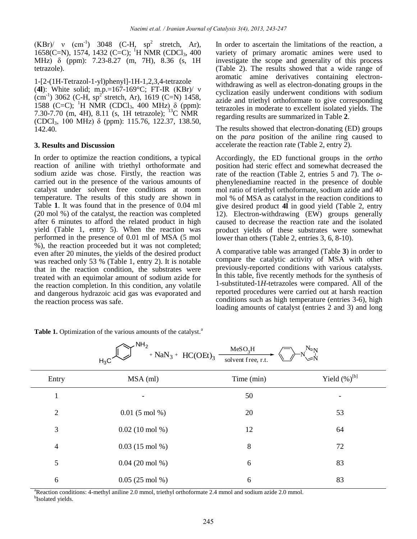$(KBr)'$  v  $(cm^{-1})$  3048 (C-H,  $sp^2$  stretch, Ar), 1658(C=N), 1574, 1432 (C=C); <sup>1</sup>H NMR (CDCl<sub>3</sub>, 400 MHz) δ (ppm): 7.23-8.27 (m, 7H), 8.36 (s, 1H tetrazole).

1-[2-(1H-Tetrazol-1-yl)phenyl]-1H-1,2,3,4-tetrazole (**4l**): White solid; m.p.=167-169°C; FT-IR (KBr)/ ν  $\text{(cm}^{-1})$  3062 (C-H, sp<sup>2</sup> stretch, Ar), 1619 (C=N) 1458, 1588 (C=C); <sup>1</sup>H NMR (CDCl<sub>3</sub>, 400 MHz) δ (ppm): 7.30-7.70 (m, 4H), 8.11 (s, 1H tetrazole); <sup>13</sup>C NMR (CDCl3, 100 MHz) δ (ppm): 115.76, 122.37, 138.50, 142.40.

## **3. Results and Discussion**

In order to optimize the reaction conditions, a typical reaction of aniline with triethyl orthoformate and sodium azide was chose. Firstly, the reaction was carried out in the presence of the various amounts of catalyst under solvent free conditions at room temperature. The results of this study are shown in Table **1**. It was found that in the presence of 0.04 ml (20 mol %) of the catalyst, the reaction was completed after 6 minutes to afford the related product in high yield (Table 1, entry 5). When the reaction was performed in the presence of 0.01 ml of MSA (5 mol %), the reaction proceeded but it was not completed; even after 20 minutes, the yields of the desired product was reached only 53 % (Table 1, entry 2). It is notable that in the reaction condition, the substrates were treated with an equimolar amount of sodium azide for the reaction completion. In this condition, any volatile and dangerous hydrazoic acid gas was evaporated and the reaction process was safe.

In order to ascertain the limitations of the reaction, a variety of primary aromatic amines were used to investigate the scope and generality of this process (Table 2). The results showed that a wide range of aromatic amine derivatives containing electronwithdrawing as well as electron-donating groups in the cyclization easily underwent conditions with sodium azide and triethyl orthoformate to give corresponding tetrazoles in moderate to excellent isolated yields. The regarding results are summarized in Table **2**.

The results showed that electron-donating (ED) groups on the *para* position of the aniline ring caused to accelerate the reaction rate (Table 2, entry 2).

Accordingly, the ED functional groups in the *ortho* position had steric effect and somewhat decreased the rate of the reaction (Table 2, entries 5 and 7). The *o*phenylenediamine reacted in the presence of double mol ratio of triethyl orthoformate, sodium azide and 40 mol % of MSA as catalyst in the reaction conditions to give desired product **4l** in good yield (Table 2, entry 12). Electron-withdrawing (EW) groups generally caused to decrease the reaction rate and the isolated product yields of these substrates were somewhat lower than others (Table 2, entries 3, 6, 8-10).

A comparative table was arranged (Table **3**) in order to compare the catalytic activity of MSA with other previously-reported conditions with various catalysts. In this table, five recently methods for the synthesis of 1-substituted-1*H*-tetrazoles were compared. All of the reported procedures were carried out at harsh reaction conditions such as high temperature (entries 3-6), high loading amounts of catalyst (entries 2 and 3) and long

|                | ∼…∠<br>+ $NaN_3$ + $HC(OEt)_3$<br>$H_3C$ | MeSO <sub>2</sub> H<br>solvent free, r.t. | $N_{\rm SN}$<br>$\mathbb{R}^N$ |
|----------------|------------------------------------------|-------------------------------------------|--------------------------------|
| Entry          | $MSA$ (ml)                               | Time (min)                                | Yield $(\%)^{[b]}$             |
| 1              |                                          | 50                                        |                                |
| $\overline{2}$ | $0.01(5 \text{ mol } \%)$                | 20                                        | 53                             |
| 3              | $0.02(10 \text{ mol } \%)$               | 12                                        | 64                             |
| $\overline{4}$ | $0.03(15 \text{ mol } \%)$               | 8                                         | 72                             |
| 5              | $0.04(20 \text{ mol } \%)$               | 6                                         | 83                             |
| 6              | $0.05(25 \text{ mol } \%)$               | 6                                         | 83                             |

 $M_{2}CO$  H

Table 1. Optimization of the various amounts of the catalyst.<sup>a</sup>

 $\sim$ NH<sub>2</sub>

<sup>a</sup>Reaction conditions: 4-methyl aniline 2.0 mmol, triethyl orthoformate 2.4 mmol and sodium azide 2.0 mmol. <sup>b</sup>Isolated yields.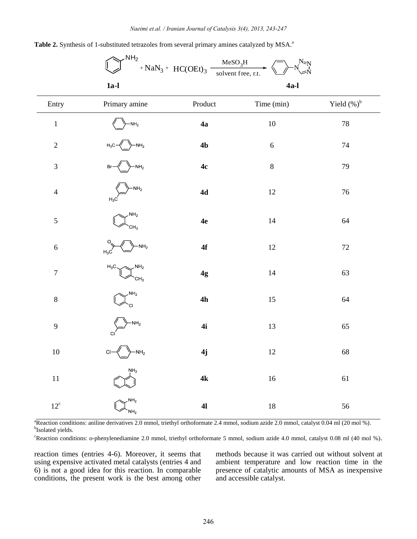|                  | $N\Box$                                      | ${\rm MeSO_3H}$<br>$+$ NaN <sub>3</sub> + HC(OEt) <sub>3</sub> | $N_{\approx N}$<br>solvent free, r.t. |                |
|------------------|----------------------------------------------|----------------------------------------------------------------|---------------------------------------|----------------|
|                  | $1a-l$                                       |                                                                | $4a-l$                                |                |
| Entry            | Primary amine                                | Product                                                        | Time (min)                            | Yield $(\%)^b$ |
| $\,1$            | $-NH2$                                       | 4a                                                             | $10\,$                                | $78\,$         |
| $\sqrt{2}$       | $-NH2$<br>$H_3C$                             | 4 <sub>b</sub>                                                 | $\sqrt{6}$                            | $74\,$         |
| $\mathfrak{Z}$   | $-NH2$<br>Br                                 | 4c                                                             | $\,8\,$                               | 79             |
| $\overline{4}$   | $-MH2$<br>$H_3C$                             | $4d$                                                           | $12\,$                                | $76\,$         |
| 5                | NH <sub>2</sub><br>CH <sub>3</sub>           | 4e                                                             | 14                                    | 64             |
| $\sqrt{6}$       | $NH_2$<br>$H_3C$                             | $4f$                                                           | $12\,$                                | $72\,$         |
| $\boldsymbol{7}$ | NH <sub>2</sub><br>$H_3C$<br>CH <sub>3</sub> | 4g                                                             | 14                                    | 63             |
| $\,8\,$          | NH <sub>2</sub><br>CI                        | 4h                                                             | $15\,$                                | 64             |
| 9                | $-NH2$<br>C <sub>1</sub>                     | 4i                                                             | 13                                    | 65             |
| $10\,$           | $-NH2$<br>$\mathbf C$                        | 4j                                                             | $12\,$                                | 68             |
| $11\,$           | $\text{NH}_2$                                | $4{\bf k}$                                                     | $16\,$                                | 61             |
| $12^{\circ}$     | NH <sub>2</sub><br>NH <sub>2</sub>           | $\mathbf{4}$                                                   | $18\,$                                | 56             |

Table 2. Synthesis of 1-substituted tetrazoles from several primary amines catalyzed by MSA.<sup>a</sup>

 $\sim$ NH<sub>2</sub>

<sup>a</sup>Reaction conditions: aniline derivatives 2.0 mmol, triethyl orthoformate 2.4 mmol, sodium azide 2.0 mmol, catalyst 0.04 ml (20 mol %). <sup>b</sup>Isolated yields.

<sup>c</sup>Reaction conditions: *o*-phenylenediamine 2.0 mmol, triethyl orthoformate 5 mmol, sodium azide 4.0 mmol, catalyst 0.08 ml (40 mol %).

reaction times (entries 4-6). Moreover, it seems that using expensive activated metal catalysts (entries 4 and 6) is not a good idea for this reaction. In comparable conditions, the present work is the best among other methods because it was carried out without solvent at ambient temperature and low reaction time in the presence of catalytic amounts of MSA as inexpensive and accessible catalyst.